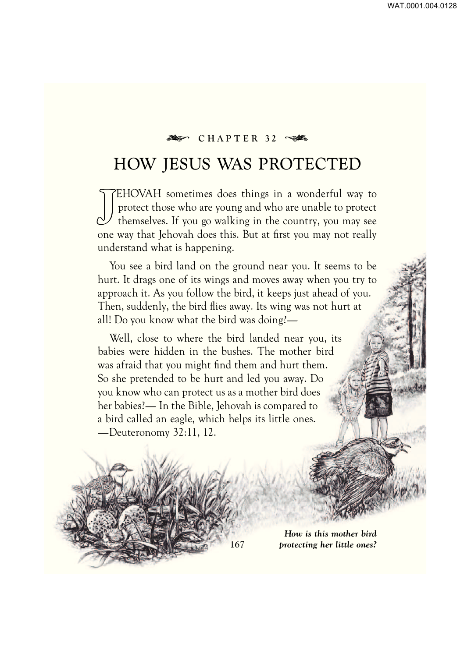## **C H A P T E R** 32

# HOW JESUS WAS PROTECTED

**J** EHOVAH sometimes does things in a wonderful way to protect those who are young and who are unable to protect themselves. If you go walking in the country, you may see one way that Jehovah does this. But at first you may not really understand what is happening.

You see a bird land on the ground near you. It seems to be hurt. It drags one of its wings and moves away when you try to approach it. As you follow the bird, it keeps just ahead of you. Then, suddenly, the bird flies away. Its wing was not hurt at all! Do you know what the bird was doing?—

Well, close to where the bird landed near you, its babies were hidden in the bushes. The mother bird was afraid that you might find them and hurt them. So she pretended to be hurt and led you away. Do you know who can protect us as a mother bird does her babies?— In the Bible, Jehovah is compared to a bird called an eagle, which helps its little ones. —Deuteronomy 32:11, 12.



*How is this mother bird* 167 *protecting her little ones?*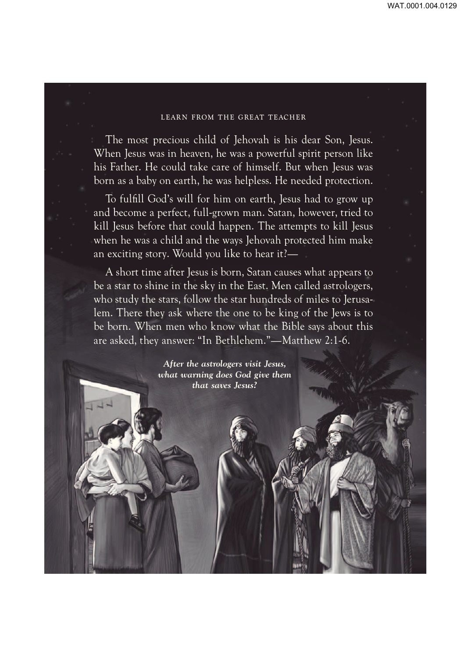#### LEARN FROM THE GREAT TEACHER

The most precious child of Jehovah is his dear Son, Jesus. When Jesus was in heaven, he was a powerful spirit person like his Father. He could take care of himself. But when Jesus was born as a baby on earth, he was helpless. He needed protection.

To fulfill God's will for him on earth, Jesus had to grow up and become a perfect, full-grown man. Satan, however, tried to kill Jesus before that could happen. The attempts to kill Jesus when he was a child and the ways Jehovah protected him make an exciting story. Would you like to hear it?—

A short time after Jesus is born, Satan causes what appears to be a star to shine in the sky in the East. Men called astrologers, who study the stars, follow the star hundreds of miles to Jerusalem. There they ask where the one to be king of the Jews is to be born. When men who know what the Bible says about this are asked, they answer: "In Bethlehem."—Matthew 2:1-6.

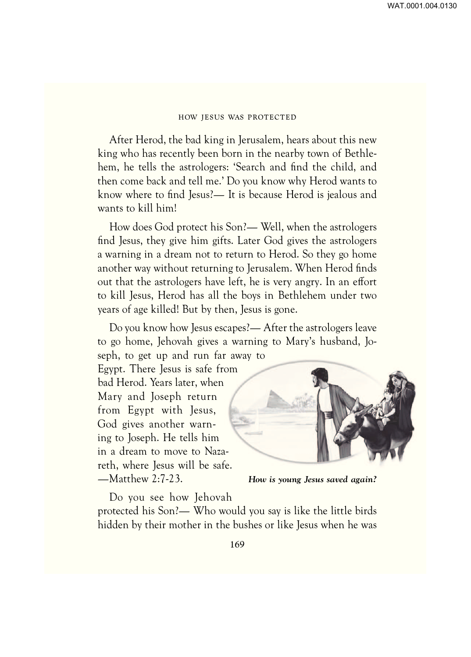#### HOW JESUS WAS PROTECTED

After Herod, the bad king in Jerusalem, hears about this new king who has recently been born in the nearby town of Bethlehem, he tells the astrologers: 'Search and find the child, and then come back and tell me.' Do you know why Herod wants to know where to find Jesus?— It is because Herod is jealous and wants to kill him!

How does God protect his Son?— Well, when the astrologers find Jesus, they give him gifts. Later God gives the astrologers a warning in a dream not to return to Herod. So they go home another way without returning to Jerusalem. When Herod finds out that the astrologers have left, he is very angry. In an effort to kill Jesus, Herod has all the boys in Bethlehem under two years of age killed! But by then, Jesus is gone.

Do you know how Jesus escapes?— After the astrologers leave to go home, Jehovah gives a warning to Mary's husband, Joseph, to get up and run far away to

Egypt. There Jesus is safe from bad Herod. Years later, when Mary and Joseph return from Egypt with Jesus, God gives another warning to Joseph. He tells him in a dream to move to Nazareth, where Jesus will be safe. —Matthew 2:7-23.



*How is young Jesus saved again?*

Do you see how Jehovah protected his Son?— Who would you say is like the little birds hidden by their mother in the bushes or like Jesus when he was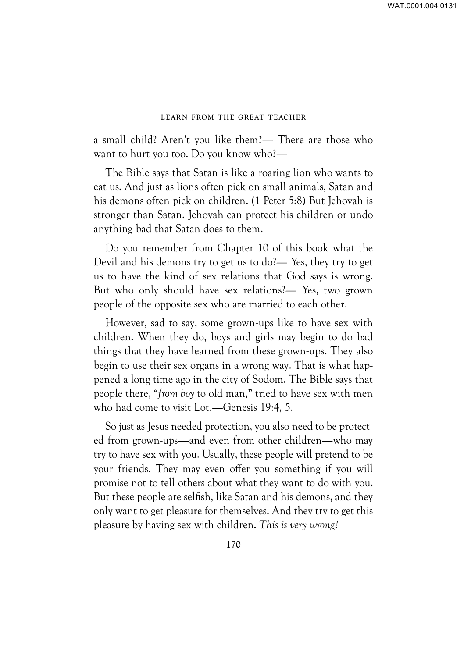### LEARN FROM THE GREAT TEACHER

a small child? Aren't you like them?— There are those who want to hurt you too. Do you know who?—

The Bible says that Satan is like a roaring lion who wants to eat us. And just as lions often pick on small animals, Satan and his demons often pick on children. (1 Peter 5:8) But Jehovah is stronger than Satan. Jehovah can protect his children or undo anything bad that Satan does to them.

Do you remember from Chapter 10 of this book what the Devil and his demons try to get us to do?— Yes, they try to get us to have the kind of sex relations that God says is wrong. But who only should have sex relations?— Yes, two grown people of the opposite sex who are married to each other.

However, sad to say, some grown-ups like to have sex with children. When they do, boys and girls may begin to do bad things that they have learned from these grown-ups. They also begin to use their sex organs in a wrong way. That is what happened a long time ago in the city of Sodom. The Bible says that people there, *"from boy* to old man," tried to have sex with men who had come to visit Lot.—Genesis 19:4, 5.

So just as Jesus needed protection, you also need to be protected from grown-ups—and even from other children—who may try to have sex with you. Usually, these people will pretend to be your friends. They may even offer you something if you will promise not to tell others about what they want to do with you. But these people are selfish, like Satan and his demons, and they only want to get pleasure for themselves. And they try to get this pleasure by having sex with children. *This is very wrong!*